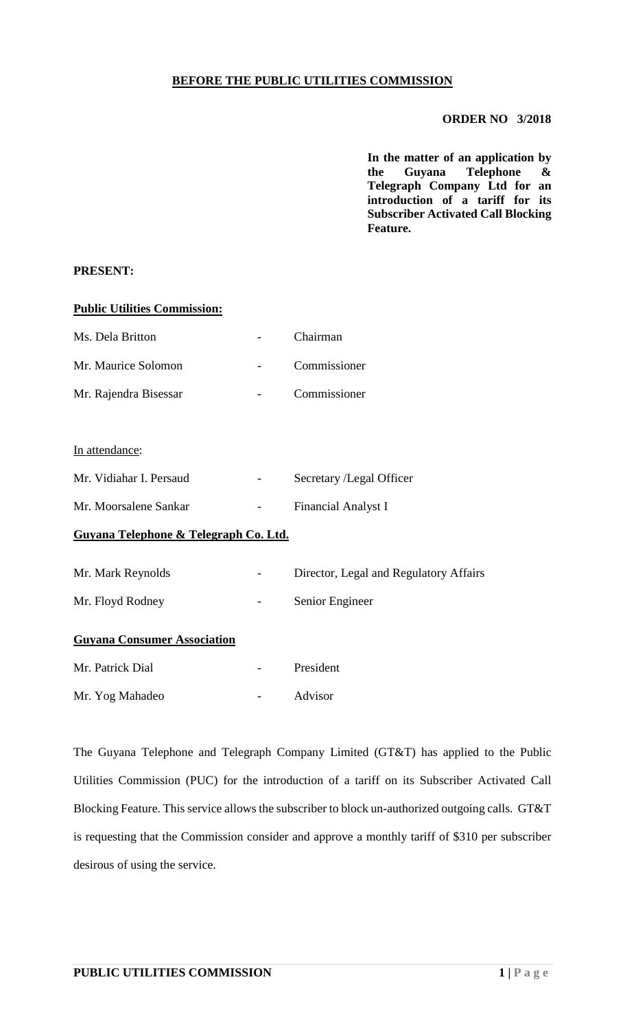# **BEFORE THE PUBLIC UTILITIES COMMISSION**

#### **ORDER NO 3/2018**

**In the matter of an application by the Guyana Telephone & Telegraph Company Ltd for an introduction of a tariff for its Subscriber Activated Call Blocking Feature.**

### **PRESENT:**

# **Public Utilities Commission:**

| Ms. Dela Britton      | Chairman     |
|-----------------------|--------------|
| Mr. Maurice Solomon   | Commissioner |
| Mr. Rajendra Bisessar | Commissioner |

#### In attendance:

| Mr. Vidiahar I. Persaud | $\sim$ | Secretary /Legal Officer |
|-------------------------|--------|--------------------------|
| Mr. Moorsalene Sankar   |        | Financial Analyst I      |

### **Guyana Telephone & Telegraph Co. Ltd.**

| Mr. Mark Reynolds | $\sim$ $-$ | Director, Legal and Regulatory Affairs |
|-------------------|------------|----------------------------------------|
| Mr. Floyd Rodney  | $\sim$     | Senior Engineer                        |

# **Guyana Consumer Association**

| Mr. Patrick Dial | President |
|------------------|-----------|
| Mr. Yog Mahadeo  | Advisor   |

The Guyana Telephone and Telegraph Company Limited (GT&T) has applied to the Public Utilities Commission (PUC) for the introduction of a tariff on its Subscriber Activated Call Blocking Feature. This service allows the subscriber to block un-authorized outgoing calls. GT&T is requesting that the Commission consider and approve a monthly tariff of \$310 per subscriber desirous of using the service.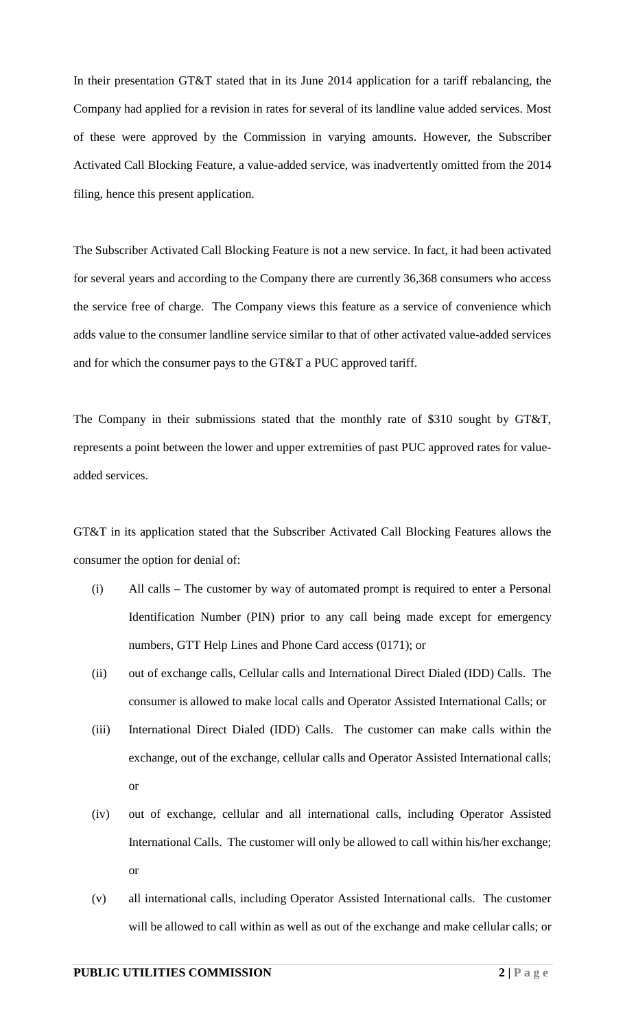In their presentation GT&T stated that in its June 2014 application for a tariff rebalancing, the Company had applied for a revision in rates for several of its landline value added services. Most of these were approved by the Commission in varying amounts. However, the Subscriber Activated Call Blocking Feature, a value-added service, was inadvertently omitted from the 2014 filing, hence this present application.

The Subscriber Activated Call Blocking Feature is not a new service. In fact, it had been activated for several years and according to the Company there are currently 36,368 consumers who access the service free of charge. The Company views this feature as a service of convenience which adds value to the consumer landline service similar to that of other activated value-added services and for which the consumer pays to the GT&T a PUC approved tariff.

The Company in their submissions stated that the monthly rate of \$310 sought by GT&T, represents a point between the lower and upper extremities of past PUC approved rates for valueadded services.

GT&T in its application stated that the Subscriber Activated Call Blocking Features allows the consumer the option for denial of:

- (i) All calls The customer by way of automated prompt is required to enter a Personal Identification Number (PIN) prior to any call being made except for emergency numbers, GTT Help Lines and Phone Card access (0171); or
- (ii) out of exchange calls, Cellular calls and International Direct Dialed (IDD) Calls. The consumer is allowed to make local calls and Operator Assisted International Calls; or
- (iii) International Direct Dialed (IDD) Calls. The customer can make calls within the exchange, out of the exchange, cellular calls and Operator Assisted International calls; or
- (iv) out of exchange, cellular and all international calls, including Operator Assisted International Calls. The customer will only be allowed to call within his/her exchange; or
- (v) all international calls, including Operator Assisted International calls. The customer will be allowed to call within as well as out of the exchange and make cellular calls; or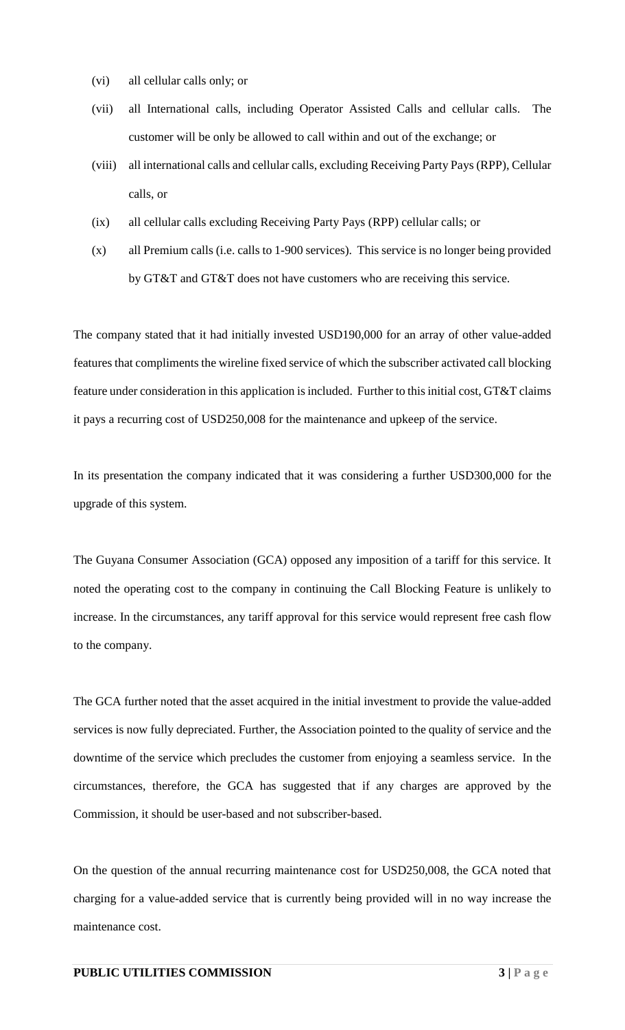- (vi) all cellular calls only; or
- (vii) all International calls, including Operator Assisted Calls and cellular calls. The customer will be only be allowed to call within and out of the exchange; or
- (viii) all international calls and cellular calls, excluding Receiving Party Pays (RPP), Cellular calls, or
- (ix) all cellular calls excluding Receiving Party Pays (RPP) cellular calls; or
- (x) all Premium calls (i.e. calls to 1-900 services). This service is no longer being provided by GT&T and GT&T does not have customers who are receiving this service.

The company stated that it had initially invested USD190,000 for an array of other value-added features that compliments the wireline fixed service of which the subscriber activated call blocking feature under consideration in this application is included. Further to this initial cost, GT&T claims it pays a recurring cost of USD250,008 for the maintenance and upkeep of the service.

In its presentation the company indicated that it was considering a further USD300,000 for the upgrade of this system.

The Guyana Consumer Association (GCA) opposed any imposition of a tariff for this service. It noted the operating cost to the company in continuing the Call Blocking Feature is unlikely to increase. In the circumstances, any tariff approval for this service would represent free cash flow to the company.

The GCA further noted that the asset acquired in the initial investment to provide the value-added services is now fully depreciated. Further, the Association pointed to the quality of service and the downtime of the service which precludes the customer from enjoying a seamless service. In the circumstances, therefore, the GCA has suggested that if any charges are approved by the Commission, it should be user-based and not subscriber-based.

On the question of the annual recurring maintenance cost for USD250,008, the GCA noted that charging for a value-added service that is currently being provided will in no way increase the maintenance cost.